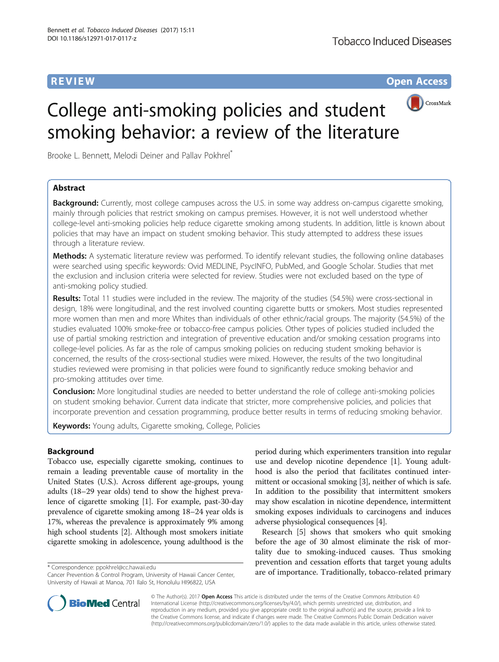**REVIEW CONSTRUCTION CONSTRUCTION CONSTRUCTS** 



# College anti-smoking policies and student smoking behavior: a review of the literature

Brooke L. Bennett, Melodi Deiner and Pallav Pokhrel\*

# Abstract

**Background:** Currently, most college campuses across the U.S. in some way address on-campus cigarette smoking, mainly through policies that restrict smoking on campus premises. However, it is not well understood whether college-level anti-smoking policies help reduce cigarette smoking among students. In addition, little is known about policies that may have an impact on student smoking behavior. This study attempted to address these issues through a literature review.

Methods: A systematic literature review was performed. To identify relevant studies, the following online databases were searched using specific keywords: Ovid MEDLINE, PsycINFO, PubMed, and Google Scholar. Studies that met the exclusion and inclusion criteria were selected for review. Studies were not excluded based on the type of anti-smoking policy studied.

Results: Total 11 studies were included in the review. The majority of the studies (54.5%) were cross-sectional in design, 18% were longitudinal, and the rest involved counting cigarette butts or smokers. Most studies represented more women than men and more Whites than individuals of other ethnic/racial groups. The majority (54.5%) of the studies evaluated 100% smoke-free or tobacco-free campus policies. Other types of policies studied included the use of partial smoking restriction and integration of preventive education and/or smoking cessation programs into college-level policies. As far as the role of campus smoking policies on reducing student smoking behavior is concerned, the results of the cross-sectional studies were mixed. However, the results of the two longitudinal studies reviewed were promising in that policies were found to significantly reduce smoking behavior and pro-smoking attitudes over time.

**Conclusion:** More longitudinal studies are needed to better understand the role of college anti-smoking policies on student smoking behavior. Current data indicate that stricter, more comprehensive policies, and policies that incorporate prevention and cessation programming, produce better results in terms of reducing smoking behavior.

Keywords: Young adults, Cigarette smoking, College, Policies

# Background

Tobacco use, especially cigarette smoking, continues to remain a leading preventable cause of mortality in the United States (U.S.). Across different age-groups, young adults (18–29 year olds) tend to show the highest prevalence of cigarette smoking [[1\]](#page-9-0). For example, past-30-day prevalence of cigarette smoking among 18–24 year olds is 17%, whereas the prevalence is approximately 9% among high school students [[2](#page-9-0)]. Although most smokers initiate cigarette smoking in adolescence, young adulthood is the

period during which experimenters transition into regular use and develop nicotine dependence [[1](#page-9-0)]. Young adulthood is also the period that facilitates continued intermittent or occasional smoking [[3\]](#page-9-0), neither of which is safe. In addition to the possibility that intermittent smokers may show escalation in nicotine dependence, intermittent smoking exposes individuals to carcinogens and induces adverse physiological consequences [[4\]](#page-9-0).

Research [\[5](#page-9-0)] shows that smokers who quit smoking before the age of 30 almost eliminate the risk of mortality due to smoking-induced causes. Thus smoking prevention and cessation efforts that target young adults \* Correspondence: [ppokhrel@cc.hawaii.edu](mailto:ppokhrel@cc.hawaii.edu)<br>Cancer Prevention & Control Program University of Hawaii Cancer Center **are of importance. Traditionally, tobacco-related primary** 



© The Author(s). 2017 **Open Access** This article is distributed under the terms of the Creative Commons Attribution 4.0 International License [\(http://creativecommons.org/licenses/by/4.0/](http://creativecommons.org/licenses/by/4.0/)), which permits unrestricted use, distribution, and reproduction in any medium, provided you give appropriate credit to the original author(s) and the source, provide a link to the Creative Commons license, and indicate if changes were made. The Creative Commons Public Domain Dedication waiver [\(http://creativecommons.org/publicdomain/zero/1.0/](http://creativecommons.org/publicdomain/zero/1.0/)) applies to the data made available in this article, unless otherwise stated.

Cancer Prevention & Control Program, University of Hawaii Cancer Center, University of Hawaii at Manoa, 701 Ilalo St, Honolulu HI96822, USA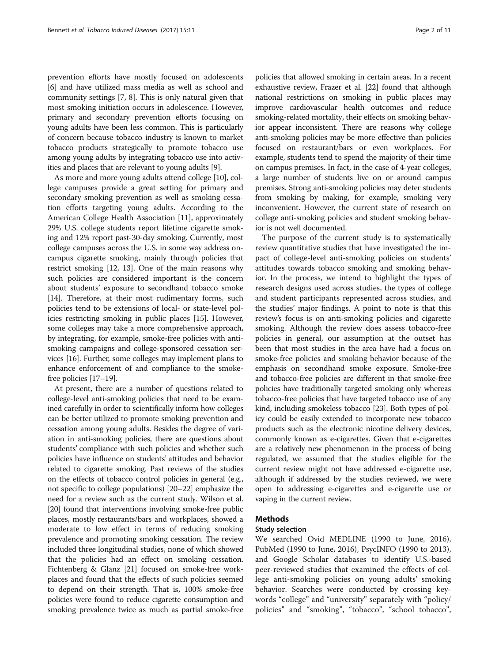prevention efforts have mostly focused on adolescents [[6\]](#page-9-0) and have utilized mass media as well as school and community settings [[7, 8\]](#page-9-0). This is only natural given that most smoking initiation occurs in adolescence. However, primary and secondary prevention efforts focusing on young adults have been less common. This is particularly of concern because tobacco industry is known to market tobacco products strategically to promote tobacco use among young adults by integrating tobacco use into activities and places that are relevant to young adults [\[9\]](#page-9-0).

As more and more young adults attend college [[10](#page-9-0)], college campuses provide a great setting for primary and secondary smoking prevention as well as smoking cessation efforts targeting young adults. According to the American College Health Association [\[11](#page-9-0)], approximately 29% U.S. college students report lifetime cigarette smoking and 12% report past-30-day smoking. Currently, most college campuses across the U.S. in some way address oncampus cigarette smoking, mainly through policies that restrict smoking [\[12](#page-9-0), [13\]](#page-9-0). One of the main reasons why such policies are considered important is the concern about students' exposure to secondhand tobacco smoke [[14](#page-9-0)]. Therefore, at their most rudimentary forms, such policies tend to be extensions of local- or state-level policies restricting smoking in public places [\[15\]](#page-9-0). However, some colleges may take a more comprehensive approach, by integrating, for example, smoke-free policies with antismoking campaigns and college-sponsored cessation services [\[16\]](#page-9-0). Further, some colleges may implement plans to enhance enforcement of and compliance to the smokefree policies [[17](#page-9-0)–[19\]](#page-9-0).

At present, there are a number of questions related to college-level anti-smoking policies that need to be examined carefully in order to scientifically inform how colleges can be better utilized to promote smoking prevention and cessation among young adults. Besides the degree of variation in anti-smoking policies, there are questions about students' compliance with such policies and whether such policies have influence on students' attitudes and behavior related to cigarette smoking. Past reviews of the studies on the effects of tobacco control policies in general (e.g., not specific to college populations) [\[20](#page-9-0)–[22](#page-9-0)] emphasize the need for a review such as the current study. Wilson et al. [[20](#page-9-0)] found that interventions involving smoke-free public places, mostly restaurants/bars and workplaces, showed a moderate to low effect in terms of reducing smoking prevalence and promoting smoking cessation. The review included three longitudinal studies, none of which showed that the policies had an effect on smoking cessation. Fichtenberg & Glanz [\[21\]](#page-9-0) focused on smoke-free workplaces and found that the effects of such policies seemed to depend on their strength. That is, 100% smoke-free policies were found to reduce cigarette consumption and smoking prevalence twice as much as partial smoke-free policies that allowed smoking in certain areas. In a recent exhaustive review, Frazer et al. [\[22\]](#page-9-0) found that although national restrictions on smoking in public places may improve cardiovascular health outcomes and reduce smoking-related mortality, their effects on smoking behavior appear inconsistent. There are reasons why college anti-smoking policies may be more effective than policies focused on restaurant/bars or even workplaces. For example, students tend to spend the majority of their time on campus premises. In fact, in the case of 4-year colleges, a large number of students live on or around campus premises. Strong anti-smoking policies may deter students from smoking by making, for example, smoking very inconvenient. However, the current state of research on college anti-smoking policies and student smoking behavior is not well documented.

The purpose of the current study is to systematically review quantitative studies that have investigated the impact of college-level anti-smoking policies on students' attitudes towards tobacco smoking and smoking behavior. In the process, we intend to highlight the types of research designs used across studies, the types of college and student participants represented across studies, and the studies' major findings. A point to note is that this review's focus is on anti-smoking policies and cigarette smoking. Although the review does assess tobacco-free policies in general, our assumption at the outset has been that most studies in the area have had a focus on smoke-free policies and smoking behavior because of the emphasis on secondhand smoke exposure. Smoke-free and tobacco-free policies are different in that smoke-free policies have traditionally targeted smoking only whereas tobacco-free policies that have targeted tobacco use of any kind, including smokeless tobacco [\[23\]](#page-9-0). Both types of policy could be easily extended to incorporate new tobacco products such as the electronic nicotine delivery devices, commonly known as e-cigarettes. Given that e-cigarettes are a relatively new phenomenon in the process of being regulated, we assumed that the studies eligible for the current review might not have addressed e-cigarette use, although if addressed by the studies reviewed, we were open to addressing e-cigarettes and e-cigarette use or vaping in the current review.

# Methods

# Study selection

We searched Ovid MEDLINE (1990 to June, 2016), PubMed (1990 to June, 2016), PsycINFO (1990 to 2013), and Google Scholar databases to identify U.S.-based peer-reviewed studies that examined the effects of college anti-smoking policies on young adults' smoking behavior. Searches were conducted by crossing keywords "college" and "university" separately with "policy/ policies" and "smoking", "tobacco", "school tobacco",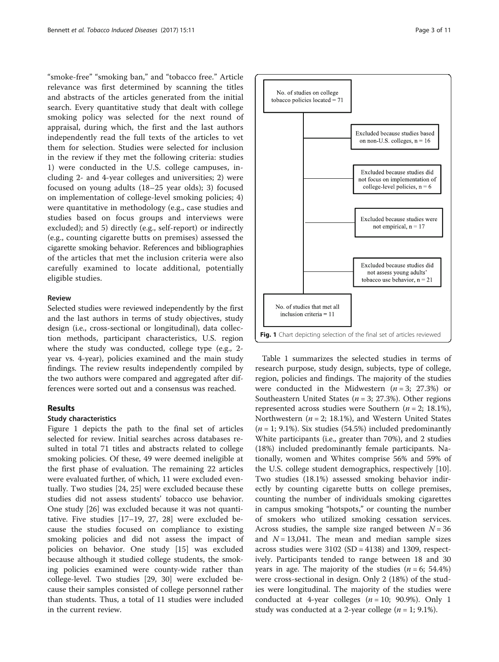"smoke-free" "smoking ban," and "tobacco free." Article relevance was first determined by scanning the titles and abstracts of the articles generated from the initial search. Every quantitative study that dealt with college smoking policy was selected for the next round of appraisal, during which, the first and the last authors independently read the full texts of the articles to vet them for selection. Studies were selected for inclusion in the review if they met the following criteria: studies 1) were conducted in the U.S. college campuses, including 2- and 4-year colleges and universities; 2) were focused on young adults (18–25 year olds); 3) focused on implementation of college-level smoking policies; 4) were quantitative in methodology (e.g., case studies and studies based on focus groups and interviews were excluded); and 5) directly (e.g., self-report) or indirectly (e.g., counting cigarette butts on premises) assessed the cigarette smoking behavior. References and bibliographies of the articles that met the inclusion criteria were also carefully examined to locate additional, potentially eligible studies.

### Review

Selected studies were reviewed independently by the first and the last authors in terms of study objectives, study design (i.e., cross-sectional or longitudinal), data collection methods, participant characteristics, U.S. region where the study was conducted, college type (e.g., 2 year vs. 4-year), policies examined and the main study findings. The review results independently compiled by the two authors were compared and aggregated after differences were sorted out and a consensus was reached.

# Results

### Study characteristics

Figure 1 depicts the path to the final set of articles selected for review. Initial searches across databases resulted in total 71 titles and abstracts related to college smoking policies. Of these, 49 were deemed ineligible at the first phase of evaluation. The remaining 22 articles were evaluated further, of which, 11 were excluded eventually. Two studies [[24, 25\]](#page-9-0) were excluded because these studies did not assess students' tobacco use behavior. One study [\[26\]](#page-9-0) was excluded because it was not quantitative. Five studies [\[17](#page-9-0)–[19, 27, 28\]](#page-9-0) were excluded because the studies focused on compliance to existing smoking policies and did not assess the impact of policies on behavior. One study [\[15](#page-9-0)] was excluded because although it studied college students, the smoking policies examined were county-wide rather than college-level. Two studies [\[29](#page-9-0), [30](#page-9-0)] were excluded because their samples consisted of college personnel rather than students. Thus, a total of 11 studies were included in the current review.



Table [1](#page-3-0) summarizes the selected studies in terms of research purpose, study design, subjects, type of college, region, policies and findings. The majority of the studies were conducted in the Midwestern  $(n = 3; 27.3%)$  or Southeastern United States ( $n = 3$ ; 27.3%). Other regions represented across studies were Southern ( $n = 2$ ; 18.1%), Northwestern ( $n = 2$ ; 18.1%), and Western United States  $(n = 1; 9.1\%)$ . Six studies (54.5%) included predominantly White participants (i.e., greater than 70%), and 2 studies (18%) included predominantly female participants. Nationally, women and Whites comprise 56% and 59% of the U.S. college student demographics, respectively [\[10](#page-9-0)]. Two studies (18.1%) assessed smoking behavior indirectly by counting cigarette butts on college premises, counting the number of individuals smoking cigarettes in campus smoking "hotspots," or counting the number of smokers who utilized smoking cessation services. Across studies, the sample size ranged between  $N = 36$ and  $N = 13,041$ . The mean and median sample sizes across studies were  $3102$  (SD =  $4138$ ) and 1309, respectively. Participants tended to range between 18 and 30 years in age. The majority of the studies  $(n = 6; 54.4\%)$ were cross-sectional in design. Only 2 (18%) of the studies were longitudinal. The majority of the studies were conducted at 4-year colleges  $(n = 10; 90.9\%)$ . Only 1 study was conducted at a 2-year college ( $n = 1$ ; 9.1%).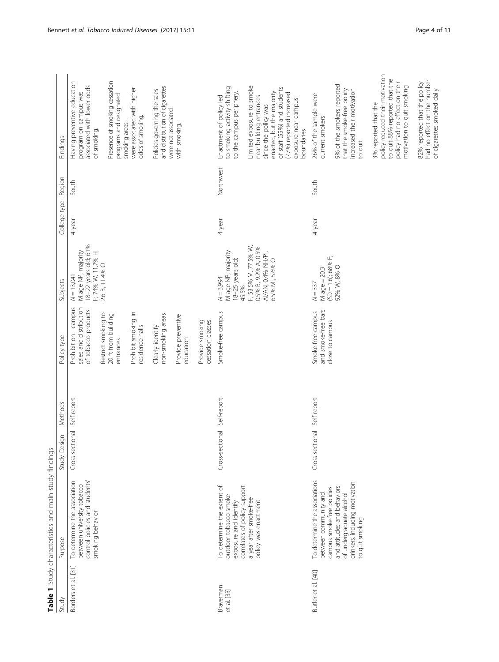<span id="page-3-0"></span>

|                          | Table 1 Study characteristics and main study findings                                                                                      |                                |             |                                                                                              |                                                                                                    |              |           |                                                                                                                                                                                                            |
|--------------------------|--------------------------------------------------------------------------------------------------------------------------------------------|--------------------------------|-------------|----------------------------------------------------------------------------------------------|----------------------------------------------------------------------------------------------------|--------------|-----------|------------------------------------------------------------------------------------------------------------------------------------------------------------------------------------------------------------|
| Study                    | Purpose                                                                                                                                    | Methods<br>Study Design        | Policy type |                                                                                              | Subjects                                                                                           | College type | Region    | Findings                                                                                                                                                                                                   |
| $[31]$<br>Borders et al. | control policies and students'<br>To determine the association<br>between university tobacco<br>smoking behavior                           | Cross-sectional Self-report    |             | sales and distribution<br>Prohibit on - campus<br>of tobacco products<br>Restrict smoking to | 18-22 years old; 61%<br>M age NP, majority<br>F; 74% W, 11.7% H,<br>2.6 B, 11.4% O<br>$N = 13,041$ | 4 year       | South     | Having preventive education<br>associated with lower odds<br>program on campus was<br>of smoking.                                                                                                          |
|                          |                                                                                                                                            |                                | entrances   | 20 ft from building                                                                          |                                                                                                    |              |           | Presence of smoking cessation<br>programs and designated                                                                                                                                                   |
|                          |                                                                                                                                            |                                |             | Prohibit smoking in<br>residence halls                                                       |                                                                                                    |              |           | were associated with higher<br>odds of smoking.<br>smoking areas                                                                                                                                           |
|                          |                                                                                                                                            |                                |             | non-smoking areas<br>Clearly identify                                                        |                                                                                                    |              |           | and distribution of cigarettes<br>Policies governing the sales                                                                                                                                             |
|                          |                                                                                                                                            |                                | education   | Provide preventive                                                                           |                                                                                                    |              |           | were not associated<br>with smoking.                                                                                                                                                                       |
|                          |                                                                                                                                            |                                |             | Provide smoking<br>cessation classes                                                         |                                                                                                    |              |           |                                                                                                                                                                                                            |
| Braverman<br>et al. [33] | correlates of policy support<br>To determine the extent of<br>outdoor tobacco smoke<br>exposure and identify                               | Cross-sectional Self-report    |             | Smoke-free campus                                                                            | M age NP, majority<br>18-25 years old;<br>$N = 3,994$<br>45.5%                                     | 4 year       | Northwest | to smoking activity shifting<br>to the campus periphery.<br>Enactment of policy led                                                                                                                        |
|                          | a year after smoke-free<br>policy was enactment                                                                                            |                                |             |                                                                                              | F, 53.5% M, 77.5% W,<br>0.5% B, 9.2% A, 0.5%<br>AI/AN, 0.4% NH/PI,<br>6.5% MI, 5.6% O              |              |           | Limited exposure to smoke<br>of staff (55%) and students<br>enacted, but the majority<br>(77%) reported increased<br>near building entrances<br>exposure near campus<br>since the policy was<br>boundaries |
| Butler et al. [40]       | To determine the associations<br>between community and                                                                                     | Self-report<br>Cross-sectional |             | and smoke-free bars<br>Smoke-free campus                                                     | $M$ age = 20.3<br>$N = 337$                                                                        | 4 year       | South     | 26% of the sample were<br>current smokers                                                                                                                                                                  |
|                          | drinkers, including motivation<br>and attitudes and behaviors<br>campus smoke-free policies<br>of undergraduate alcohol<br>to quit smoking |                                |             | close to campus                                                                              | $(SD = 1.6)$ ; 68% F;<br>92% W, 8% O                                                               |              |           | 9% of the smokers reported<br>that the smoke-free policy<br>increased their motivation<br>to quit                                                                                                          |
|                          |                                                                                                                                            |                                |             |                                                                                              |                                                                                                    |              |           | policy reduced their motivation<br>to quit 88% reported that the<br>policy had no effect on their<br>motivation to quit smoking<br>3% reported that the                                                    |
|                          |                                                                                                                                            |                                |             |                                                                                              |                                                                                                    |              |           | had no effect on the number<br>82% reported that the policy<br>of cigarettes smoked daily                                                                                                                  |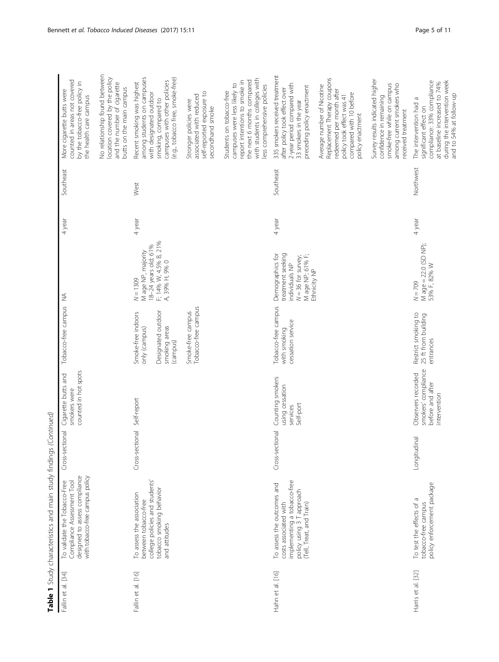|                    | Table 1 Study characteristics and main study findings (Continued)                                                                           |                             |                                                                               |                                                          |                                                                                                                     |        |           |                                                                                                                                                                                         |
|--------------------|---------------------------------------------------------------------------------------------------------------------------------------------|-----------------------------|-------------------------------------------------------------------------------|----------------------------------------------------------|---------------------------------------------------------------------------------------------------------------------|--------|-----------|-----------------------------------------------------------------------------------------------------------------------------------------------------------------------------------------|
| Fallin et al. [34] | designed to assess compliance<br>with tobacco-free campus policy<br>To validate the Tobacco-Free<br>Compliance Assessment Tool              | ctional<br>Cross-ser        | counted in hot spots<br>Cigarette butts and<br>smokers were                   | Tobacco-free campus                                      | ₹                                                                                                                   | 4 year | Southeast | counted in areas not covered<br>by the tobacco-free policy in<br>More cigarette butts were<br>the health care campus                                                                    |
|                    |                                                                                                                                             |                             |                                                                               |                                                          |                                                                                                                     |        |           | No relationship found between<br>location covered by the policy<br>and the number of cigarette<br>butts on the main campus                                                              |
| Fallin et al. [16] | To assess the association<br>between tobacco-free                                                                                           | Cross-sectional Self-report |                                                                               | Smoke-free indoors<br>only (campus)                      | 18-24 years old; 61%<br>M age NP, majority<br>$N = 1309$                                                            | 4 year | West      | among students on campuses<br>Recent smoking was highest                                                                                                                                |
|                    | college policies and students'<br>tobacco smoking behavior<br>and attitudes                                                                 |                             |                                                                               | Designated outdoor<br>smoking areas<br>(campus)          | F; 14% W, 4.5% B, 21%<br>A, 39% H, 9% 0                                                                             |        |           | (e.g., tobacco free, smoke-free)<br>campuses with other policies<br>with designated outdoor<br>smoking, compared to                                                                     |
|                    |                                                                                                                                             |                             |                                                                               | Tobacco-free campus<br>Smoke-free campus                 |                                                                                                                     |        |           | self-reported exposure to<br>associated with reduced<br>Stronger policies were<br>secondhand smoke                                                                                      |
|                    |                                                                                                                                             |                             |                                                                               |                                                          |                                                                                                                     |        |           | with students in colleges with<br>report intentions to smoke in<br>the next 6 months compared<br>campuses were less likely to<br>ess comprehensive policies<br>Students on tobacco-free |
| Hahn et al. [16]   | implementing a tobacco-free<br>policy using 3 T approach<br>To assess the outcomes and<br>costs associated with<br>(Tell, Treat, and Train) | Cross-sectional             | Counting smokers<br>using cessation<br>Self-port<br>services                  | Tobacco-free campus<br>cessation service<br>with smoking | treatment seeking<br>Demographics for<br>M age NP; 61% F;<br>$N = 36$ for survey;<br>individuals NP<br>Ethnicity NP | 4 year | Southeast | 335 smokers received treatment<br>2-year period compared with<br>preceding policy enactment<br>after policy took effect over<br>33 smokers in the year                                  |
|                    |                                                                                                                                             |                             |                                                                               |                                                          |                                                                                                                     |        |           | Replacement Therapy coupons<br>Average number of Nicotine<br>redeemed per month after<br>compared with 10 before<br>policy took effect was 41<br>policy enactment                       |
|                    |                                                                                                                                             |                             |                                                                               |                                                          |                                                                                                                     |        |           | Survey results indicated higher<br>among current smokers who<br>smoke-free while on campus<br>confidence in remaining<br>received treatment                                             |
| Harris et al. [32] | policy enforcement package<br>To test the effects of a<br>tobacco-free campus                                                               | Longitudinal                | smokers' compliance<br>Observers recorded<br>before and after<br>intervention | Restrict smoking to<br>25 ft from building<br>entrances  | M age = 22.0 (SD NP);<br>53% F, 82% W<br>$N = 709$                                                                  | 4 year | Northwest | during the intervention week<br>and to 54% at follow-up<br>compliance: 33% compliance<br>at baseline increased to 74%<br>The intervention had a<br>significant effect on                |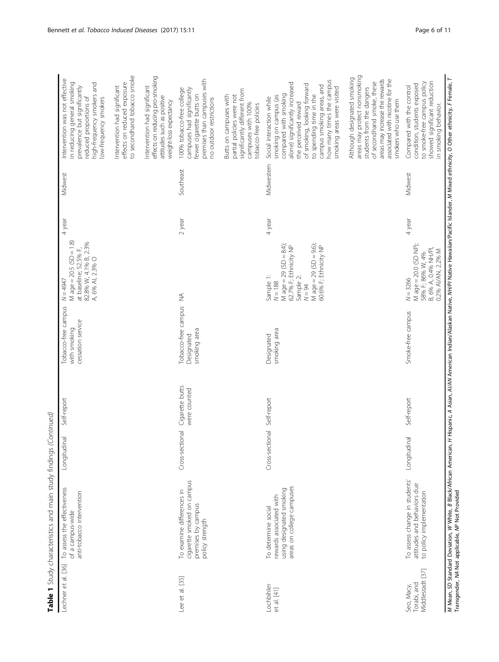| Lechner et al. [36]                           | To assess the effectiveness<br>anti-tobacco intervention<br>of a campus-wide                                         | <b>Longitudinal</b>         | Self-report                     | Tobacco-free campus<br>cessation service<br>with smoking | M age = $20.5$ (SD = 1.8)<br>82.8% W, 4.1% B, 2.3%<br>at baseline; 52.5% F,<br>A, 6% AI, 2.3% O<br>$N = 4947$                                             | 4 year   | Midwest    | Intervention was not effective<br>n reducing general smoking<br>high-frequency smokers and<br>prevalence but significantly<br>reduced proportions of<br>low-frequency smokers                                                                                                          |
|-----------------------------------------------|----------------------------------------------------------------------------------------------------------------------|-----------------------------|---------------------------------|----------------------------------------------------------|-----------------------------------------------------------------------------------------------------------------------------------------------------------|----------|------------|----------------------------------------------------------------------------------------------------------------------------------------------------------------------------------------------------------------------------------------------------------------------------------------|
|                                               |                                                                                                                      |                             |                                 |                                                          |                                                                                                                                                           |          |            | to secondhand tobacco smoke<br>effects on reduced exposure<br>Intervention had significant                                                                                                                                                                                             |
|                                               |                                                                                                                      |                             |                                 |                                                          |                                                                                                                                                           |          |            | effects on reducing pro-smoking<br>Intervention had significant<br>attitudes such as positive<br>weight-loss expectancy                                                                                                                                                                |
| Lee et al. [35]                               | cigarette smoked on campus<br>To examine differences in<br>premises by campus<br>policy strength                     | Cross-sectional             | Cigarette butts<br>were counted | Tobacco-free campus<br>smoking area<br>Designated        | $\lessgtr$                                                                                                                                                | $2$ year | Southeast  | premises than campuses with<br>campuses had significantly<br>100% tobacco-free college<br>fewer cigarette butts on<br>no outdoor restrictions                                                                                                                                          |
|                                               |                                                                                                                      |                             |                                 |                                                          |                                                                                                                                                           |          |            | significantly different from<br>partial policies were not<br>Butts on campuses with<br>campuses with 100%<br>tobacco-free policies                                                                                                                                                     |
| Lochbihler<br>et al. [41]                     | areas on college campuses<br>using designated smoking<br>rewards associated with<br>To determine social              | Cross-sectional Self-report |                                 | smoking area<br>Designated                               | M age = 29 $(SD = 9.6)$ ;<br>60.6% F; Ethnicity NP<br>M age = 29 $(SD = 8.4)$<br>62.7% F; Ethnicity NP<br>Sample 1:<br>Sample 2:<br>$N = 188$<br>$N = 94$ | 4 year   | Midwestern | how many times the campus<br>alone) significantly increased<br>of smoking, looking forward<br>campus smoking areas, and<br>smoking areas were visited<br>compared with smoking<br>to spending time in the<br>smoking on campus (as<br>Social interaction while<br>the perceived reward |
|                                               |                                                                                                                      |                             |                                 |                                                          |                                                                                                                                                           |          |            | areas may protect nonsmoking<br>Although designated smoking<br>areas may increase the rewards<br>associated with nicotine for the<br>of secondhand smoke, these<br>students from the dangers<br>smokers who use them                                                                   |
| Middlestadt [37]<br>Torabi, and<br>Seo, Macy, | To assess change in students'<br>attitudes and behaviors due<br>to policy implementation                             | $\overline{B}$<br>Longitudi | Self-report                     | Smoke-free campus                                        | M age = 20.0 (SD NP);<br>B, 6% A, 0.4% NH/PI,<br>0.2% AI/AN, 2.2% M<br>58% F; 86% W, 4%<br>$N = 3266$                                                     | 4 year   | Midwest    | showed significant reduction<br>to smoke-free campus policy<br>condition, students exposed<br>Compared with the control<br>in smoking behavior.                                                                                                                                        |
|                                               | M Mean, SD Standard Deviation, W White, B Black/African American,<br>Transgender, MA Not applicable, NP Not Provided |                             |                                 |                                                          |                                                                                                                                                           |          |            | H Hispanic, A Asian, AI/AN American Indian/Alaskan Native, MH/P Native Hawaiian/Pacific Islander, M Mixed ethnicity, O Other ethnicity, F Female, T                                                                                                                                    |

Table 1 Study characteristics and main study findings (Continued) **Table 1** Study characteristics and main study findings (Continued)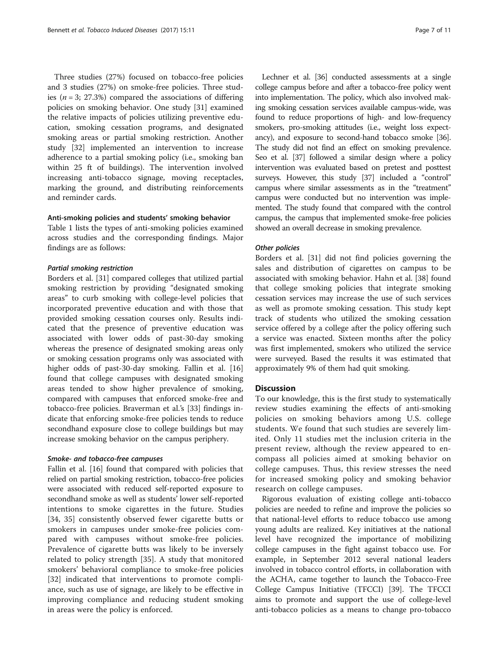Three studies (27%) focused on tobacco-free policies and 3 studies (27%) on smoke-free policies. Three studies ( $n = 3$ ; 27.3%) compared the associations of differing policies on smoking behavior. One study [\[31](#page-9-0)] examined the relative impacts of policies utilizing preventive education, smoking cessation programs, and designated smoking areas or partial smoking restriction. Another study [[32](#page-9-0)] implemented an intervention to increase adherence to a partial smoking policy (i.e., smoking ban within 25 ft of buildings). The intervention involved increasing anti-tobacco signage, moving receptacles, marking the ground, and distributing reinforcements and reminder cards.

### Anti-smoking policies and students' smoking behavior

Table [1](#page-3-0) lists the types of anti-smoking policies examined across studies and the corresponding findings. Major findings are as follows:

## Partial smoking restriction

Borders et al. [[31](#page-9-0)] compared colleges that utilized partial smoking restriction by providing "designated smoking areas" to curb smoking with college-level policies that incorporated preventive education and with those that provided smoking cessation courses only. Results indicated that the presence of preventive education was associated with lower odds of past-30-day smoking whereas the presence of designated smoking areas only or smoking cessation programs only was associated with higher odds of past-30-day smoking. Fallin et al. [[16](#page-9-0)] found that college campuses with designated smoking areas tended to show higher prevalence of smoking, compared with campuses that enforced smoke-free and tobacco-free policies. Braverman et al.'s [[33](#page-9-0)] findings indicate that enforcing smoke-free policies tends to reduce secondhand exposure close to college buildings but may increase smoking behavior on the campus periphery.

## Smoke- and tobacco-free campuses

Fallin et al. [\[16\]](#page-9-0) found that compared with policies that relied on partial smoking restriction, tobacco-free policies were associated with reduced self-reported exposure to secondhand smoke as well as students' lower self-reported intentions to smoke cigarettes in the future. Studies [[34, 35\]](#page-9-0) consistently observed fewer cigarette butts or smokers in campuses under smoke-free policies compared with campuses without smoke-free policies. Prevalence of cigarette butts was likely to be inversely related to policy strength [[35\]](#page-9-0). A study that monitored smokers' behavioral compliance to smoke-free policies [[32\]](#page-9-0) indicated that interventions to promote compliance, such as use of signage, are likely to be effective in improving compliance and reducing student smoking in areas were the policy is enforced.

Lechner et al. [[36](#page-9-0)] conducted assessments at a single college campus before and after a tobacco-free policy went into implementation. The policy, which also involved making smoking cessation services available campus-wide, was found to reduce proportions of high- and low-frequency smokers, pro-smoking attitudes (i.e., weight loss expectancy), and exposure to second-hand tobacco smoke [\[36](#page-9-0)]. The study did not find an effect on smoking prevalence. Seo et al. [\[37](#page-9-0)] followed a similar design where a policy intervention was evaluated based on pretest and posttest surveys. However, this study [[37](#page-9-0)] included a "control" campus where similar assessments as in the "treatment" campus were conducted but no intervention was implemented. The study found that compared with the control campus, the campus that implemented smoke-free policies showed an overall decrease in smoking prevalence.

# Other policies

Borders et al. [\[31](#page-9-0)] did not find policies governing the sales and distribution of cigarettes on campus to be associated with smoking behavior. Hahn et al. [[38\]](#page-10-0) found that college smoking policies that integrate smoking cessation services may increase the use of such services as well as promote smoking cessation. This study kept track of students who utilized the smoking cessation service offered by a college after the policy offering such a service was enacted. Sixteen months after the policy was first implemented, smokers who utilized the service were surveyed. Based the results it was estimated that approximately 9% of them had quit smoking.

# **Discussion**

To our knowledge, this is the first study to systematically review studies examining the effects of anti-smoking policies on smoking behaviors among U.S. college students. We found that such studies are severely limited. Only 11 studies met the inclusion criteria in the present review, although the review appeared to encompass all policies aimed at smoking behavior on college campuses. Thus, this review stresses the need for increased smoking policy and smoking behavior research on college campuses.

Rigorous evaluation of existing college anti-tobacco policies are needed to refine and improve the policies so that national-level efforts to reduce tobacco use among young adults are realized. Key initiatives at the national level have recognized the importance of mobilizing college campuses in the fight against tobacco use. For example, in September 2012 several national leaders involved in tobacco control efforts, in collaboration with the ACHA, came together to launch the Tobacco-Free College Campus Initiative (TFCCI) [\[39](#page-10-0)]. The TFCCI aims to promote and support the use of college-level anti-tobacco policies as a means to change pro-tobacco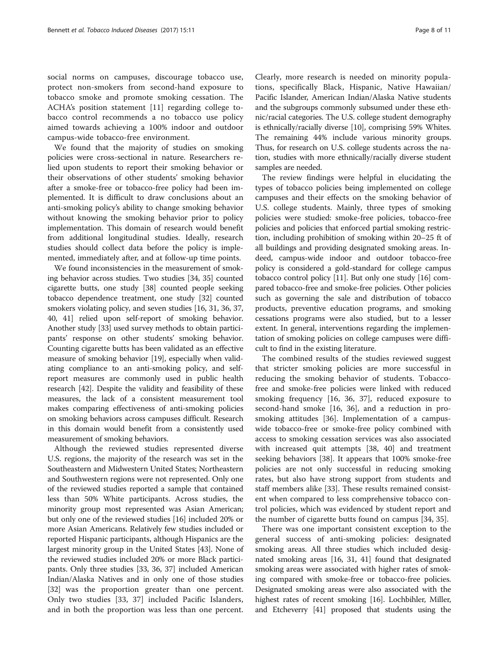social norms on campuses, discourage tobacco use, protect non-smokers from second-hand exposure to tobacco smoke and promote smoking cessation. The ACHA's position statement [\[11](#page-9-0)] regarding college tobacco control recommends a no tobacco use policy aimed towards achieving a 100% indoor and outdoor campus-wide tobacco-free environment.

We found that the majority of studies on smoking policies were cross-sectional in nature. Researchers relied upon students to report their smoking behavior or their observations of other students' smoking behavior after a smoke-free or tobacco-free policy had been implemented. It is difficult to draw conclusions about an anti-smoking policy's ability to change smoking behavior without knowing the smoking behavior prior to policy implementation. This domain of research would benefit from additional longitudinal studies. Ideally, research studies should collect data before the policy is implemented, immediately after, and at follow-up time points.

We found inconsistencies in the measurement of smoking behavior across studies. Two studies [[34, 35\]](#page-9-0) counted cigarette butts, one study [[38](#page-10-0)] counted people seeking tobacco dependence treatment, one study [\[32](#page-9-0)] counted smokers violating policy, and seven studies [[16, 31](#page-9-0), [36, 37](#page-9-0), [40](#page-10-0), [41\]](#page-10-0) relied upon self-report of smoking behavior. Another study [\[33\]](#page-9-0) used survey methods to obtain participants' response on other students' smoking behavior. Counting cigarette butts has been validated as an effective measure of smoking behavior [\[19](#page-9-0)], especially when validating compliance to an anti-smoking policy, and selfreport measures are commonly used in public health research [[42\]](#page-10-0). Despite the validity and feasibility of these measures, the lack of a consistent measurement tool makes comparing effectiveness of anti-smoking policies on smoking behaviors across campuses difficult. Research in this domain would benefit from a consistently used measurement of smoking behaviors.

Although the reviewed studies represented diverse U.S. regions, the majority of the research was set in the Southeastern and Midwestern United States; Northeastern and Southwestern regions were not represented. Only one of the reviewed studies reported a sample that contained less than 50% White participants. Across studies, the minority group most represented was Asian American; but only one of the reviewed studies [\[16](#page-9-0)] included 20% or more Asian Americans. Relatively few studies included or reported Hispanic participants, although Hispanics are the largest minority group in the United States [\[43\]](#page-10-0). None of the reviewed studies included 20% or more Black participants. Only three studies [\[33, 36, 37](#page-9-0)] included American Indian/Alaska Natives and in only one of those studies [[32](#page-9-0)] was the proportion greater than one percent. Only two studies [[33, 37](#page-9-0)] included Pacific Islanders, and in both the proportion was less than one percent.

Clearly, more research is needed on minority populations, specifically Black, Hispanic, Native Hawaiian/ Pacific Islander, American Indian/Alaska Native students and the subgroups commonly subsumed under these ethnic/racial categories. The U.S. college student demography is ethnically/racially diverse [[10\]](#page-9-0), comprising 59% Whites. The remaining 44% include various minority groups. Thus, for research on U.S. college students across the nation, studies with more ethnically/racially diverse student samples are needed.

The review findings were helpful in elucidating the types of tobacco policies being implemented on college campuses and their effects on the smoking behavior of U.S. college students. Mainly, three types of smoking policies were studied: smoke-free policies, tobacco-free policies and policies that enforced partial smoking restriction, including prohibition of smoking within 20–25 ft of all buildings and providing designated smoking areas. Indeed, campus-wide indoor and outdoor tobacco-free policy is considered a gold-standard for college campus tobacco control policy [[11](#page-9-0)]. But only one study [[16](#page-9-0)] compared tobacco-free and smoke-free policies. Other policies such as governing the sale and distribution of tobacco products, preventive education programs, and smoking cessations programs were also studied, but to a lesser extent. In general, interventions regarding the implementation of smoking policies on college campuses were difficult to find in the existing literature.

The combined results of the studies reviewed suggest that stricter smoking policies are more successful in reducing the smoking behavior of students. Tobaccofree and smoke-free policies were linked with reduced smoking frequency [[16, 36](#page-9-0), [37\]](#page-9-0), reduced exposure to second-hand smoke [[16, 36\]](#page-9-0), and a reduction in prosmoking attitudes [[36\]](#page-9-0). Implementation of a campuswide tobacco-free or smoke-free policy combined with access to smoking cessation services was also associated with increased quit attempts [\[38](#page-10-0), [40](#page-10-0)] and treatment seeking behaviors [\[38](#page-10-0)]. It appears that 100% smoke-free policies are not only successful in reducing smoking rates, but also have strong support from students and staff members alike [[33](#page-9-0)]. These results remained consistent when compared to less comprehensive tobacco control policies, which was evidenced by student report and the number of cigarette butts found on campus [[34, 35](#page-9-0)].

There was one important consistent exception to the general success of anti-smoking policies: designated smoking areas. All three studies which included designated smoking areas [\[16, 31,](#page-9-0) [41](#page-10-0)] found that designated smoking areas were associated with higher rates of smoking compared with smoke-free or tobacco-free policies. Designated smoking areas were also associated with the highest rates of recent smoking [[16](#page-9-0)]. Lochbihler, Miller, and Etcheverry [[41](#page-10-0)] proposed that students using the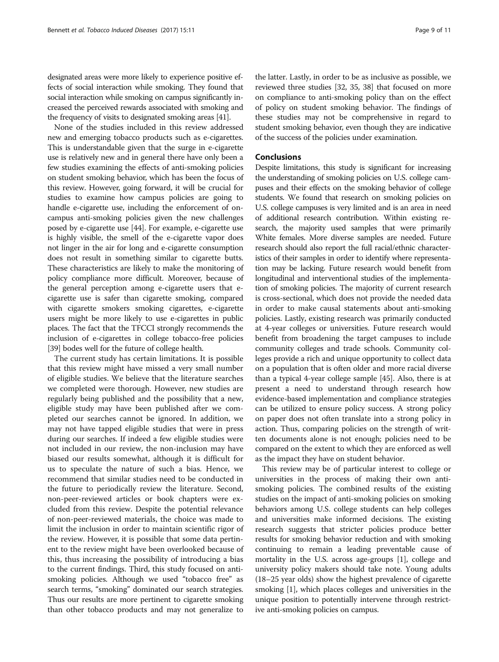designated areas were more likely to experience positive effects of social interaction while smoking. They found that social interaction while smoking on campus significantly increased the perceived rewards associated with smoking and the frequency of visits to designated smoking areas [\[41\]](#page-10-0).

None of the studies included in this review addressed new and emerging tobacco products such as e-cigarettes. This is understandable given that the surge in e-cigarette use is relatively new and in general there have only been a few studies examining the effects of anti-smoking policies on student smoking behavior, which has been the focus of this review. However, going forward, it will be crucial for studies to examine how campus policies are going to handle e-cigarette use, including the enforcement of oncampus anti-smoking policies given the new challenges posed by e-cigarette use [[44](#page-10-0)]. For example, e-cigarette use is highly visible, the smell of the e-cigarette vapor does not linger in the air for long and e-cigarette consumption does not result in something similar to cigarette butts. These characteristics are likely to make the monitoring of policy compliance more difficult. Moreover, because of the general perception among e-cigarette users that ecigarette use is safer than cigarette smoking, compared with cigarette smokers smoking cigarettes, e-cigarette users might be more likely to use e-cigarettes in public places. The fact that the TFCCI strongly recommends the inclusion of e-cigarettes in college tobacco-free policies [[39](#page-10-0)] bodes well for the future of college health.

The current study has certain limitations. It is possible that this review might have missed a very small number of eligible studies. We believe that the literature searches we completed were thorough. However, new studies are regularly being published and the possibility that a new, eligible study may have been published after we completed our searches cannot be ignored. In addition, we may not have tapped eligible studies that were in press during our searches. If indeed a few eligible studies were not included in our review, the non-inclusion may have biased our results somewhat, although it is difficult for us to speculate the nature of such a bias. Hence, we recommend that similar studies need to be conducted in the future to periodically review the literature. Second, non-peer-reviewed articles or book chapters were excluded from this review. Despite the potential relevance of non-peer-reviewed materials, the choice was made to limit the inclusion in order to maintain scientific rigor of the review. However, it is possible that some data pertinent to the review might have been overlooked because of this, thus increasing the possibility of introducing a bias to the current findings. Third, this study focused on antismoking policies. Although we used "tobacco free" as search terms, "smoking" dominated our search strategies. Thus our results are more pertinent to cigarette smoking than other tobacco products and may not generalize to

the latter. Lastly, in order to be as inclusive as possible, we reviewed three studies [\[32](#page-9-0), [35,](#page-9-0) [38\]](#page-10-0) that focused on more on compliance to anti-smoking policy than on the effect of policy on student smoking behavior. The findings of these studies may not be comprehensive in regard to student smoking behavior, even though they are indicative of the success of the policies under examination.

# Conclusions

Despite limitations, this study is significant for increasing the understanding of smoking policies on U.S. college campuses and their effects on the smoking behavior of college students. We found that research on smoking policies on U.S. college campuses is very limited and is an area in need of additional research contribution. Within existing research, the majority used samples that were primarily White females. More diverse samples are needed. Future research should also report the full racial/ethnic characteristics of their samples in order to identify where representation may be lacking. Future research would benefit from longitudinal and interventional studies of the implementation of smoking policies. The majority of current research is cross-sectional, which does not provide the needed data in order to make causal statements about anti-smoking policies. Lastly, existing research was primarily conducted at 4-year colleges or universities. Future research would benefit from broadening the target campuses to include community colleges and trade schools. Community colleges provide a rich and unique opportunity to collect data on a population that is often older and more racial diverse than a typical 4-year college sample [\[45\]](#page-10-0). Also, there is at present a need to understand through research how evidence-based implementation and compliance strategies can be utilized to ensure policy success. A strong policy on paper does not often translate into a strong policy in action. Thus, comparing policies on the strength of written documents alone is not enough; policies need to be compared on the extent to which they are enforced as well as the impact they have on student behavior.

This review may be of particular interest to college or universities in the process of making their own antismoking policies. The combined results of the existing studies on the impact of anti-smoking policies on smoking behaviors among U.S. college students can help colleges and universities make informed decisions. The existing research suggests that stricter policies produce better results for smoking behavior reduction and with smoking continuing to remain a leading preventable cause of mortality in the U.S. across age-groups [\[1\]](#page-9-0), college and university policy makers should take note. Young adults (18–25 year olds) show the highest prevalence of cigarette smoking [\[1](#page-9-0)], which places colleges and universities in the unique position to potentially intervene through restrictive anti-smoking policies on campus.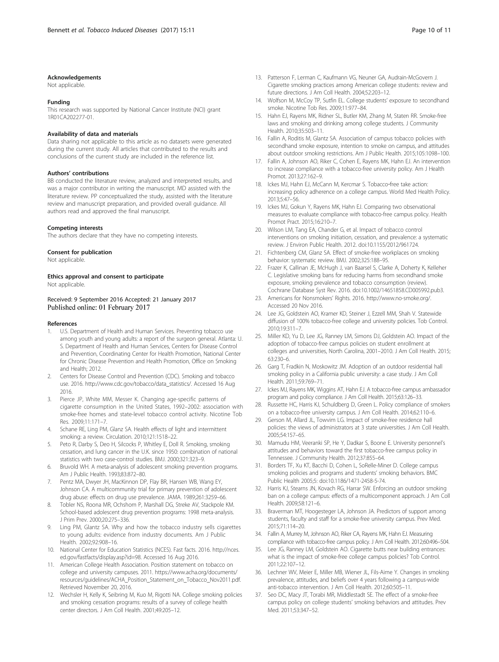### <span id="page-9-0"></span>Acknowledgements

Not applicable.

#### Funding

This research was supported by National Cancer Institute (NCI) grant 1R01CA202277-01.

#### Availability of data and materials

Data sharing not applicable to this article as no datasets were generated during the current study. All articles that contributed to the results and conclusions of the current study are included in the reference list.

#### Authors' contributions

BB conducted the literature review, analyzed and interpreted results, and was a major contributor in writing the manuscript. MD assisted with the literature review. PP conceptualized the study, assisted with the literature review and manuscript preparation, and provided overall guidance. All authors read and approved the final manuscript.

### Competing interests

The authors declare that they have no competing interests.

#### Consent for publication

Not applicable.

# Ethics approval and consent to participate

Not applicable.

# Received: 9 September 2016 Accepted: 21 January 2017 Published online: 01 February 2017

#### References

- 1. U.S. Department of Health and Human Services. Preventing tobacco use among youth and young adults: a report of the surgeon general. Atlanta: U. S. Department of Health and Human Services, Centers for Disease Control and Prevention, Coordinating Center for Health Promotion, National Center for Chronic Disease Prevention and Health Promotion, Office on Smoking and Health; 2012.
- 2. Centers for Disease Control and Prevention (CDC). Smoking and tobacco use. 2016. [http://www.cdc.gov/tobacco/data\\_statistics/](http://www.cdc.gov/tobacco/data_statistics/). Accessed 16 Aug 2016.
- 3. Pierce JP, White MM, Messer K. Changing age-specific patterns of cigarette consumption in the United States, 1992–2002: association with smoke-free homes and state-level tobacco control activity. Nicotine Tob Res. 2009;11:171–7.
- 4. Schane RE, Ling PM, Glanz SA. Health effects of light and intermittent smoking: a review. Circulation. 2010;121:1518–22.
- 5. Peto R, Darby S, Deo H, Silcocks P, Whitley E, Doll R. Smoking, smoking cessation, and lung cancer in the U.K. since 1950: combination of national statistics with two case-control studies. BMJ. 2000;321:323–9.
- 6. Bruvold WH. A meta-analysis of adolescent smoking prevention programs. Am J Public Health. 1993;83:872–80.
- 7. Pentz MA, Dwyer JH, MacKinnon DP, Flay BR, Hansen WB, Wang EY, Johnson CA. A multicommunity trial for primary prevention of adolescent drug abuse: effects on drug use prevalence. JAMA. 1989;261:3259–66.
- 8. Tobler NS, Roona MR, Ochshom P, Marshall DG, Streke AV, Stackpole KM. School-based adolescent drug prevention programs: 1998 meta-analysis. J Prim Prev. 2000;20:275–336.
- Ling PM, Glantz SA. Why and how the tobacco industry sells cigarettes to young adults: evidence from industry documents. Am J Public Health. 2002;92:908–16.
- 10. National Center for Education Statistics (NCES). Fast facts. 2016. [http://nces.](http://nces.ed.gov/fastfacts/display.asp?id=98) [ed.gov/fastfacts/display.asp?id=98.](http://nces.ed.gov/fastfacts/display.asp?id=98) Accessed 16 Aug 2016.
- 11. American College Health Association. Position statement on tobacco on college and university campuses. 2011. [https://www.acha.org/documents/](https://www.acha.org/documents/resources/guidelines/ACHA_Position_Statement_on_Tobacco_Nov2011.pdf) [resources/guidelines/ACHA\\_Position\\_Statement\\_on\\_Tobacco\\_Nov2011.pdf.](https://www.acha.org/documents/resources/guidelines/ACHA_Position_Statement_on_Tobacco_Nov2011.pdf) Retrieved November 20, 2016.
- 12. Wechsler H, Kelly K, Seibring M, Kuo M, Rigotti NA. College smoking policies and smoking cessation programs: results of a survey of college health center directors. J Am Coll Health. 2001;49:205–12.
- 13. Patterson F, Lerman C, Kaufmann VG, Neuner GA, Audrain-McGovern J. Cigarette smoking practices among American college students: review and future directions. J Am Coll Health. 2004;52:203–12.
- 14. Wolfson M, McCoy TP, Sutfin EL. College students' exposure to secondhand smoke. Nicotine Tob Res. 2009;11:977–84.
- 15. Hahn EJ, Rayens MK, Ridner SL, Butler KM, Zhang M, Staten RR. Smoke-free laws and smoking and drinking among college students. J Community Health. 2010;35:503–11.
- 16. Fallin A, Roditis M, Glantz SA. Association of campus tobacco policies with secondhand smoke exposure, intention to smoke on campus, and attitudes about outdoor smoking restrictions. Am J Public Health. 2015;105:1098–100.
- 17. Fallin A, Johnson AO, Riker C, Cohen E, Rayens MK, Hahn EJ. An intervention to increase compliance with a tobacco-free university policy. Am J Health Promot. 2013;27:162–9.
- 18. Ickes MJ, Hahn EJ, McCann M, Kercmar S. Tobacco-free take action: increasing policy adherence on a college campus. World Med Health Policy. 2013;5:47–56.
- 19. Ickes MJ, Gokun Y, Rayens MK, Hahn EJ. Comparing two observational measures to evaluate compliance with tobacco-free campus policy. Health Promot Pract. 2015;16:210–7.
- 20. Wilson LM, Tang EA, Chander G, et al. Impact of tobacco control interventions on smoking initiation, cessation, and prevalence: a systematic review. J Environ Public Health. 2012. doi[:10.1155/2012/961724.](http://dx.doi.org/10.1155/2012/961724)
- 21. Fichtenberg CM, Glanz SA. Effect of smoke-free workplaces on smoking behavior: systematic review. BMJ. 2002;325:188–95.
- 22. Frazer K, Callinan JE, McHugh J, van Baarsel S, Clarke A, Doherty K, Kelleher C. Legislative smoking bans for reducing harms from secondhand smoke exposure, smoking prevalence and tobacco consumption (review). Cochrane Database Syst Rev. 2016. doi[:10.1002/14651858.CD005992.pub3](http://dx.doi.org/10.1002/14651858.CD005992.pub3).
- 23. Americans for Nonsmokers' Rights. 2016. [http://www.no-smoke.org/.](http://www.no-smoke.org/) Accessed 20 Nov 2016.
- 24. Lee JG, Goldstein AO, Kramer KD, Steiner J, Ezzell MM, Shah V. Statewide diffusion of 100% tobacco-free college and university policies. Tob Control. 2010;19:311–7.
- 25. Miller KD, Yu D, Lee JG, Ranney LM, Simons DJ, Goldstein AO. Impact of the adoption of tobacco-free campus policies on student enrollment at colleges and universities, North Carolina, 2001–2010. J Am Coll Health. 2015; 63:230–6.
- 26. Garg T, Fradkin N, Moskowitz JM. Adoption of an outdoor residential hall smoking policy in a California public university: a case study. J Am Coll Health. 2011;59:769–71.
- 27. Ickes MJ, Rayens MK, Wiggins AT, Hahn EJ. A tobacco-free campus ambassador program and policy compliance. J Am Coll Health. 2015;63:126–33.
- 28. Russette HC, Harris KJ, Schuldberg D, Green L. Policy compliance of smokers on a tobacco-free university campus. J Am Coll Health. 2014;62:110–6.
- 29. Gerson M, Allard JL, Towvim LG. Impact of smoke-free residence hall policies: the views of administrators at 3 state universities. J Am Coll Health. 2005;54:157–65.
- 30. Mamudu HM, Veeranki SP, He Y, Dadkar S, Boone E. University personnel's attitudes and behaviors toward the first tobacco-free campus policy in Tennessee. J Community Health. 2012;37:855–64.
- 31. Borders TF, Xu KT, Bacchi D, Cohen L, SoRelle-Miner D. College campus smoking policies and programs and students' smoking behaviors. BMC Public Health 2005;5: doi:[10.1186/1471-2458-5-74](http://dx.doi.org/10.1186/1471-2458-5-74).
- 32. Harris KJ, Stearns JN, Kovach RG, Harrar SW. Enforcing an outdoor smoking ban on a college campus: effects of a multicomponent approach. J Am Coll Health. 2009;58:121–6.
- 33. Braverman MT, Hoogesteger LA, Johnson JA. Predictors of support among students, faculty and staff for a smoke-free university campus. Prev Med. 2015;71:114–20.
- 34. Fallin A, Murrey M, Johnson AO, Riker CA, Rayens MK, Hahn EJ. Measuring compliance with tobacco-free campus policy. J Am Coll Health. 2012;60:496–504.
- 35. Lee JG, Ranney LM, Goldstein AO. Cigarette butts near building entrances: what is the impact of smoke-free college campus policies? Tob Control. 2011;22:107–12.
- 36. Lechner WV, Meier E, Miller MB, Wiener JL, Fils-Aime Y. Changes in smoking prevalence, attitudes, and beliefs over 4 years following a campus-wide anti-tobacco intervention. J Am Coll Health. 2012;60:505–11.
- 37. Seo DC, Macy JT, Torabi MR, Middlestadt SE. The effect of a smoke-free campus policy on college students' smoking behaviors and attitudes. Prev Med. 2011;53:347–52.